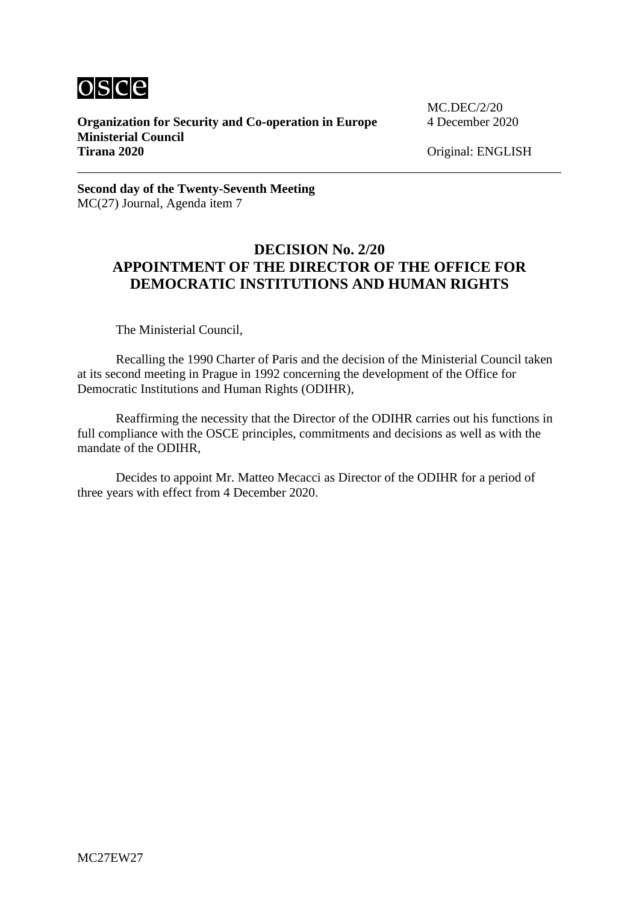

**Organization for Security and Co-operation in Europe** 4 December 2020 **Ministerial Council Tirana 2020** Original: ENGLISH

MC.DEC/2/20

**Second day of the Twenty-Seventh Meeting** MC(27) Journal, Agenda item 7

## **DECISION No. 2/20 APPOINTMENT OF THE DIRECTOR OF THE OFFICE FOR DEMOCRATIC INSTITUTIONS AND HUMAN RIGHTS**

The Ministerial Council,

Recalling the 1990 Charter of Paris and the decision of the Ministerial Council taken at its second meeting in Prague in 1992 concerning the development of the Office for Democratic Institutions and Human Rights (ODIHR),

Reaffirming the necessity that the Director of the ODIHR carries out his functions in full compliance with the OSCE principles, commitments and decisions as well as with the mandate of the ODIHR,

Decides to appoint Mr. Matteo Mecacci as Director of the ODIHR for a period of three years with effect from 4 December 2020.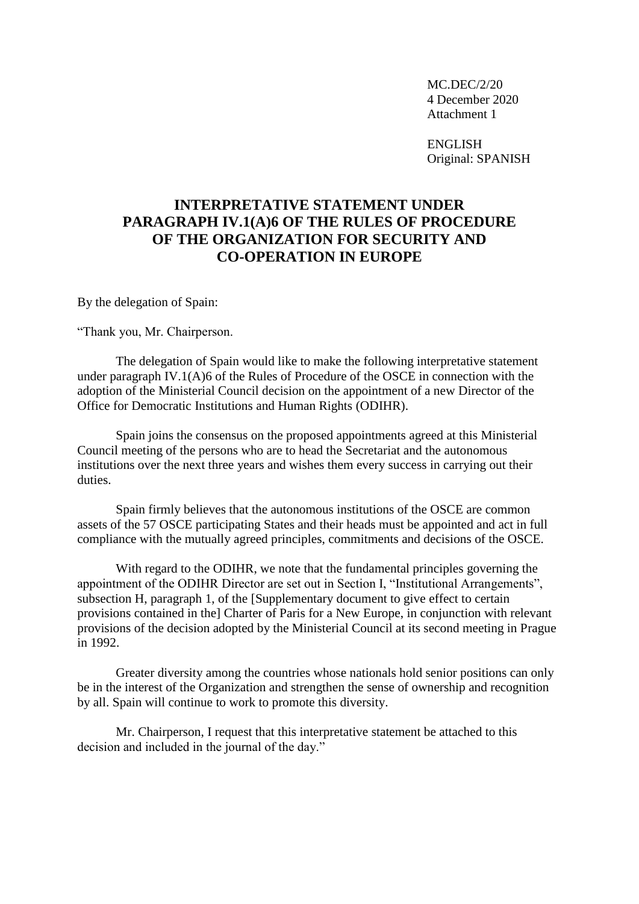MC.DEC/2/20 4 December 2020 Attachment 1

ENGLISH Original: SPANISH

## **INTERPRETATIVE STATEMENT UNDER PARAGRAPH IV.1(A)6 OF THE RULES OF PROCEDURE OF THE ORGANIZATION FOR SECURITY AND CO-OPERATION IN EUROPE**

By the delegation of Spain:

"Thank you, Mr. Chairperson.

The delegation of Spain would like to make the following interpretative statement under paragraph IV.1(A)6 of the Rules of Procedure of the OSCE in connection with the adoption of the Ministerial Council decision on the appointment of a new Director of the Office for Democratic Institutions and Human Rights (ODIHR).

Spain joins the consensus on the proposed appointments agreed at this Ministerial Council meeting of the persons who are to head the Secretariat and the autonomous institutions over the next three years and wishes them every success in carrying out their duties.

Spain firmly believes that the autonomous institutions of the OSCE are common assets of the 57 OSCE participating States and their heads must be appointed and act in full compliance with the mutually agreed principles, commitments and decisions of the OSCE.

With regard to the ODIHR, we note that the fundamental principles governing the appointment of the ODIHR Director are set out in Section I, "Institutional Arrangements", subsection H, paragraph 1, of the [Supplementary document to give effect to certain provisions contained in the] Charter of Paris for a New Europe, in conjunction with relevant provisions of the decision adopted by the Ministerial Council at its second meeting in Prague in 1992.

Greater diversity among the countries whose nationals hold senior positions can only be in the interest of the Organization and strengthen the sense of ownership and recognition by all. Spain will continue to work to promote this diversity.

Mr. Chairperson, I request that this interpretative statement be attached to this decision and included in the journal of the day."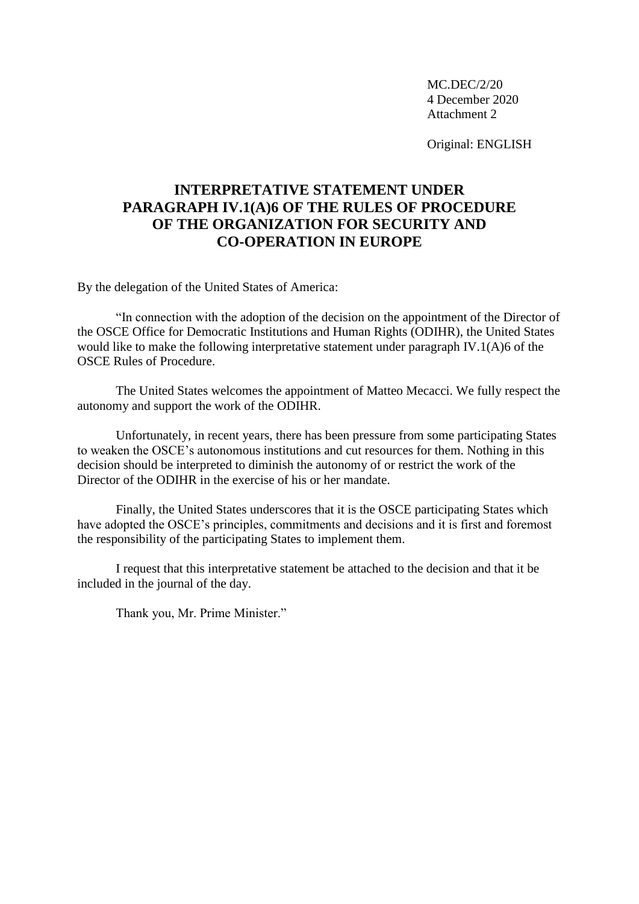MC.DEC/2/20 4 December 2020 Attachment 2

Original: ENGLISH

## **INTERPRETATIVE STATEMENT UNDER PARAGRAPH IV.1(A)6 OF THE RULES OF PROCEDURE OF THE ORGANIZATION FOR SECURITY AND CO-OPERATION IN EUROPE**

By the delegation of the United States of America:

"In connection with the adoption of the decision on the appointment of the Director of the OSCE Office for Democratic Institutions and Human Rights (ODIHR), the United States would like to make the following interpretative statement under paragraph IV.1(A)6 of the OSCE Rules of Procedure.

The United States welcomes the appointment of Matteo Mecacci. We fully respect the autonomy and support the work of the ODIHR.

Unfortunately, in recent years, there has been pressure from some participating States to weaken the OSCE's autonomous institutions and cut resources for them. Nothing in this decision should be interpreted to diminish the autonomy of or restrict the work of the Director of the ODIHR in the exercise of his or her mandate.

Finally, the United States underscores that it is the OSCE participating States which have adopted the OSCE's principles, commitments and decisions and it is first and foremost the responsibility of the participating States to implement them.

I request that this interpretative statement be attached to the decision and that it be included in the journal of the day.

Thank you, Mr. Prime Minister."